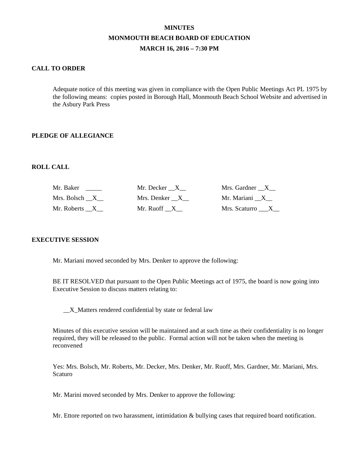# **MINUTES MONMOUTH BEACH BOARD OF EDUCATION MARCH 16, 2016 – 7:30 PM**

## **CALL TO ORDER**

Adequate notice of this meeting was given in compliance with the Open Public Meetings Act PL 1975 by the following means: copies posted in Borough Hall, Monmouth Beach School Website and advertised in the Asbury Park Press

## **PLEDGE OF ALLEGIANCE**

#### **ROLL CALL**

| Mr. Baker     | Mr. Decker X  | Mrs. Gardner X  |
|---------------|---------------|-----------------|
| Mrs. Bolsch X | Mrs. Denker X | Mr. Mariani X   |
| Mr. Roberts X | Mr. Ruoff X   | Mrs. Scaturro X |

## **EXECUTIVE SESSION**

Mr. Mariani moved seconded by Mrs. Denker to approve the following:

BE IT RESOLVED that pursuant to the Open Public Meetings act of 1975, the board is now going into Executive Session to discuss matters relating to:

\_\_X\_Matters rendered confidential by state or federal law

Minutes of this executive session will be maintained and at such time as their confidentiality is no longer required, they will be released to the public. Formal action will not be taken when the meeting is reconvened

Yes: Mrs. Bolsch, Mr. Roberts, Mr. Decker, Mrs. Denker, Mr. Ruoff, Mrs. Gardner, Mr. Mariani, Mrs. Scaturo

Mr. Marini moved seconded by Mrs. Denker to approve the following:

Mr. Ettore reported on two harassment, intimidation & bullying cases that required board notification.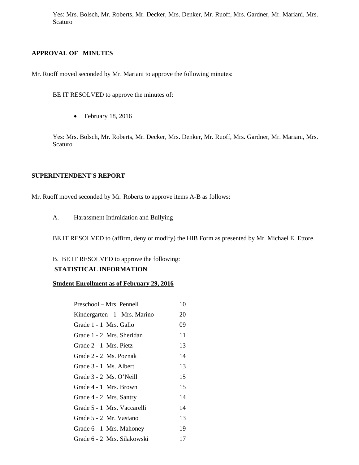Yes: Mrs. Bolsch, Mr. Roberts, Mr. Decker, Mrs. Denker, Mr. Ruoff, Mrs. Gardner, Mr. Mariani, Mrs. Scaturo

## **APPROVAL OF MINUTES**

Mr. Ruoff moved seconded by Mr. Mariani to approve the following minutes:

BE IT RESOLVED to approve the minutes of:

• February 18, 2016

Yes: Mrs. Bolsch, Mr. Roberts, Mr. Decker, Mrs. Denker, Mr. Ruoff, Mrs. Gardner, Mr. Mariani, Mrs. Scaturo

#### **SUPERINTENDENT'S REPORT**

Mr. Ruoff moved seconded by Mr. Roberts to approve items A-B as follows:

A. Harassment Intimidation and Bullying

BE IT RESOLVED to (affirm, deny or modify) the HIB Form as presented by Mr. Michael E. Ettore.

# B. BE IT RESOLVED to approve the following:

# **STATISTICAL INFORMATION**

### **Student Enrollment as of February 29, 2016**

| Preschool – Mrs. Pennell     | 10 |
|------------------------------|----|
| Kindergarten - 1 Mrs. Marino | 20 |
| Grade 1 - 1 Mrs. Gallo       | 09 |
| Grade 1 - 2 Mrs. Sheridan    | 11 |
| Grade 2 - 1 Mrs. Pietz       | 13 |
| Grade 2 - 2 Ms. Poznak       | 14 |
| Grade 3 - 1 Ms. Albert       | 13 |
| Grade 3 - 2 Ms. O'Neill      | 15 |
| Grade 4 - 1 Mrs. Brown       | 15 |
| Grade 4 - 2 Mrs. Santry      | 14 |
| Grade 5 - 1 Mrs. Vaccarelli  | 14 |
| Grade 5 - 2 Mr. Vastano      | 13 |
| Grade 6 - 1 Mrs. Mahoney     | 19 |
| Grade 6 - 2 Mrs. Silakowski  | 17 |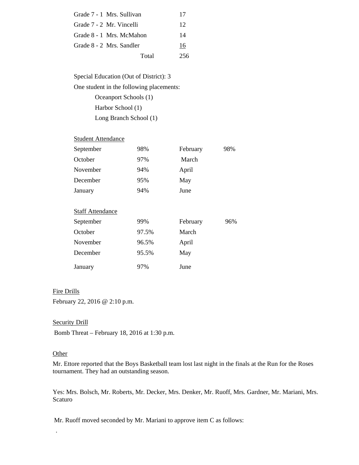| Grade 7 - 1 Mrs. Sullivan | 17  |
|---------------------------|-----|
| Grade 7 - 2 Mr. Vincelli  | 12  |
| Grade 8 - 1 Mrs. McMahon  | 14  |
| Grade 8 - 2 Mrs. Sandler  | 16  |
| Total                     | 256 |

Special Education (Out of District): 3 One student in the following placements: Oceanport Schools (1) Harbor School (1) Long Branch School (1)

## **Student Attendance**

| September               | 98% | February | 98% |
|-------------------------|-----|----------|-----|
| October                 | 97% | March    |     |
| November                | 94% | April    |     |
| December                | 95% | May      |     |
| January                 | 94% | June     |     |
|                         |     |          |     |
| <b>Staff Attendance</b> |     |          |     |

| September | 99%   | February | 96% |
|-----------|-------|----------|-----|
| October   | 97.5% | March    |     |
| November  | 96.5% | April    |     |
| December  | 95.5% | May      |     |
| January   | 97%   | June     |     |

#### Fire Drills

February 22, 2016 @ 2:10 p.m.

Security Drill

Bomb Threat – February 18, 2016 at 1:30 p.m.

#### **Other**

.

Mr. Ettore reported that the Boys Basketball team lost last night in the finals at the Run for the Roses tournament. They had an outstanding season.

Yes: Mrs. Bolsch, Mr. Roberts, Mr. Decker, Mrs. Denker, Mr. Ruoff, Mrs. Gardner, Mr. Mariani, Mrs. Scaturo

Mr. Ruoff moved seconded by Mr. Mariani to approve item C as follows: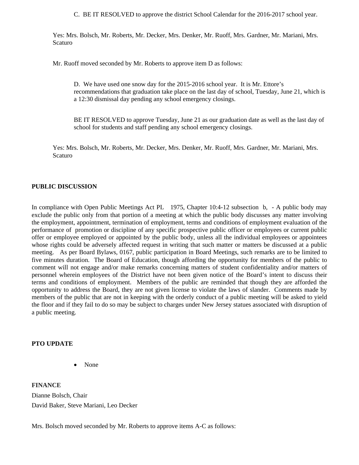C. BE IT RESOLVED to approve the district School Calendar for the 2016-2017 school year.

Yes: Mrs. Bolsch, Mr. Roberts, Mr. Decker, Mrs. Denker, Mr. Ruoff, Mrs. Gardner, Mr. Mariani, Mrs. Scaturo

Mr. Ruoff moved seconded by Mr. Roberts to approve item D as follows:

D. We have used one snow day for the 2015-2016 school year. It is Mr. Ettore's recommendations that graduation take place on the last day of school, Tuesday, June 21, which is a 12:30 dismissal day pending any school emergency closings.

BE IT RESOLVED to approve Tuesday, June 21 as our graduation date as well as the last day of school for students and staff pending any school emergency closings.

Yes: Mrs. Bolsch, Mr. Roberts, Mr. Decker, Mrs. Denker, Mr. Ruoff, Mrs. Gardner, Mr. Mariani, Mrs. Scaturo

## **PUBLIC DISCUSSION**

In compliance with Open Public Meetings Act PL 1975, Chapter 10:4-12 subsection b, - A public body may exclude the public only from that portion of a meeting at which the public body discusses any matter involving the employment, appointment, termination of employment, terms and conditions of employment evaluation of the performance of promotion or discipline of any specific prospective public officer or employees or current public offer or employee employed or appointed by the public body, unless all the individual employees or appointees whose rights could be adversely affected request in writing that such matter or matters be discussed at a public meeting. As per Board Bylaws, 0167, public participation in Board Meetings, such remarks are to be limited to five minutes duration. The Board of Education, though affording the opportunity for members of the public to comment will not engage and/or make remarks concerning matters of student confidentiality and/or matters of personnel wherein employees of the District have not been given notice of the Board's intent to discuss their terms and conditions of employment. Members of the public are reminded that though they are afforded the opportunity to address the Board, they are not given license to violate the laws of slander. Comments made by members of the public that are not in keeping with the orderly conduct of a public meeting will be asked to yield the floor and if they fail to do so may be subject to charges under New Jersey statues associated with disruption of a public meeting.

## **PTO UPDATE**

• None

**FINANCE**  Dianne Bolsch, Chair David Baker, Steve Mariani, Leo Decker

Mrs. Bolsch moved seconded by Mr. Roberts to approve items A-C as follows: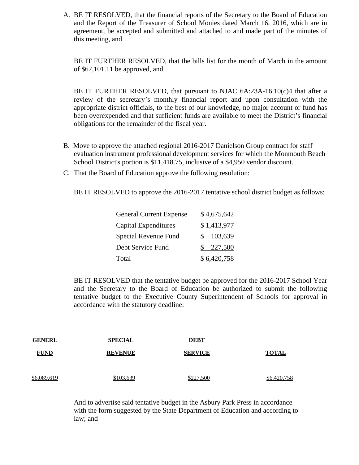A. BE IT RESOLVED, that the financial reports of the Secretary to the Board of Education and the Report of the Treasurer of School Monies dated March 16, 2016, which are in agreement, be accepted and submitted and attached to and made part of the minutes of this meeting, and

BE IT FURTHER RESOLVED, that the bills list for the month of March in the amount of \$67,101.11 be approved, and

BE IT FURTHER RESOLVED, that pursuant to NJAC  $6A:23A-16.10(c)4$  that after a review of the secretary's monthly financial report and upon consultation with the appropriate district officials, to the best of our knowledge, no major account or fund has been overexpended and that sufficient funds are available to meet the District's financial obligations for the remainder of the fiscal year.

- B. Move to approve the attached regional 2016-2017 Danielson Group contract for staff evaluation instrument professional development services for which the Monmouth Beach School District's portion is \$11,418.75, inclusive of a \$4,950 vendor discount.
- C. That the Board of Education approve the following resolution:

BE IT RESOLVED to approve the 2016-2017 tentative school district budget as follows:

| <b>General Current Expense</b> | \$4,675,642   |
|--------------------------------|---------------|
| Capital Expenditures           | \$1,413,977   |
| Special Revenue Fund           | 103,639<br>S. |
| Debt Service Fund              | \$227,500     |
| Total                          | \$6,420,758   |

BE IT RESOLVED that the tentative budget be approved for the 2016-2017 School Year and the Secretary to the Board of Education be authorized to submit the following tentative budget to the Executive County Superintendent of Schools for approval in accordance with the statutory deadline:

| <b>GENERL</b> | <b>SPECIAL</b> | <b>DEBT</b>    |              |
|---------------|----------------|----------------|--------------|
| <b>FUND</b>   | <b>REVENUE</b> | <b>SERVICE</b> | <b>TOTAL</b> |
| \$6,089,619   | \$103,639      | \$227,500      | \$6,420,758  |

And to advertise said tentative budget in the Asbury Park Press in accordance with the form suggested by the State Department of Education and according to law; and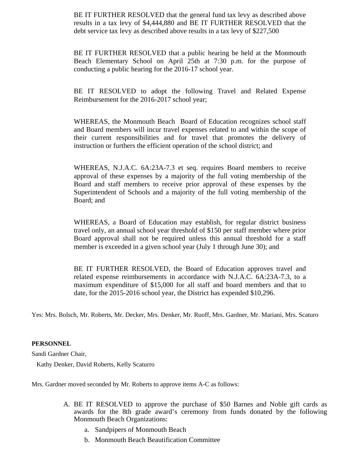BE IT FURTHER RESOLVED that the general fund tax levy as described above results in a tax levy of \$4,444,880 and BE IT FURTHER RESOLVED that the debt service tax levy as described above results in a tax levy of \$227,500

BE IT FURTHER RESOLVED that a public hearing be held at the Monmouth Beach Elementary School on April 25th at 7:30 p.m. for the purpose of conducting a public hearing for the 2016-17 school year.

BE IT RESOLVED to adopt the following Travel and Related Expense Reimbursement for the 2016-2017 school year;

WHEREAS, the Monmouth Beach Board of Education recognizes school staff and Board members will incur travel expenses related to and within the scope of their current responsibilities and for travel that promotes the delivery of instruction or furthers the efficient operation of the school district; and

WHEREAS, N.J.A.C. 6A:23A-7.3 et seq. requires Board members to receive approval of these expenses by a majority of the full voting membership of the Board and staff members to receive prior approval of these expenses by the Superintendent of Schools and a majority of the full voting membership of the Board; and

WHEREAS, a Board of Education may establish, for regular district business travel only, an annual school year threshold of \$150 per staff member where prior Board approval shall not be required unless this annual threshold for a staff member is exceeded in a given school year (July 1 through June 30); and

BE IT FURTHER RESOLVED, the Board of Education approves travel and related expense reimbursements in accordance with N.J.A.C. 6A:23A-7.3, to a maximum expenditure of \$15,000 for all staff and board members and that to date, for the 2015-2016 school year, the District has expended \$10,296.

Yes: Mrs. Bolsch, Mr. Roberts, Mr. Decker, Mrs. Denker, Mr. Ruoff, Mrs. Gardner, Mr. Mariani, Mrs. Scaturo

## **PERSONNEL**

Sandi Gardner Chair,

Kathy Denker, David Roberts, Kelly Scaturro

Mrs. Gardner moved seconded by Mr. Roberts to approve items A-C as follows:

- A. BE IT RESOLVED to approve the purchase of \$50 Barnes and Noble gift cards as awards for the 8th grade award's ceremony from funds donated by the following Monmouth Beach Organizations:
	- a. Sandpipers of Monmouth Beach
	- b. Monmouth Beach Beautification Committee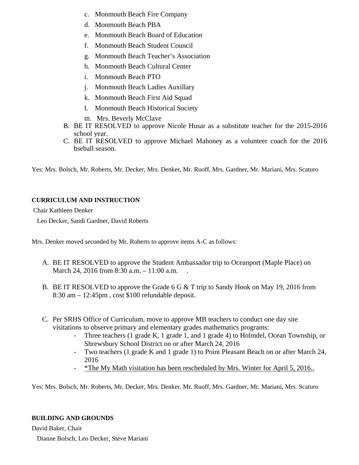- c. Monmouth Beach Fire Company
- d. Monmouth Beach PBA
- e. Monmouth Beach Board of Education
- f. Monmouth Beach Student Council
- g. Monmouth Beach Teacher's Association
- h. Monmouth Beach Cultural Center
- i. Monmouth Beach PTO
- j. Monmouth Beach Ladies Auxillary
- k. Monmouth Beach First Aid Squad
- l. Monmouth Beach Historical Society
- m. Mrs. Beverly McClave
- B. BE IT RESOLVED to approve Nicole Husar as a substitute teacher for the 2015-2016 school year.
- C. BE IT RESOLVED to approve Michael Mahoney as a volunteer coach for the 2016 bseball season.

Yes: Mrs. Bolsch, Mr. Roberts, Mr. Decker, Mrs. Denker, Mr. Ruoff, Mrs. Gardner, Mr. Mariani, Mrs. Scaturo

# **CURRICULUM AND INSTRUCTION**

Chair Kathleen Denker

Leo Decker, Sandi Gardner, David Roberts

Mrs. Denker moved seconded by Mr. Roberts to approve items A-C as follows:

- A. BE IT RESOLVED to approve the Student Ambassador trip to Oceanport (Maple Place) on March 24, 2016 from 8:30 a.m. – 11:00 a.m.
- B. BE IT RESOLVED to approve the Grade 6 G & T trip to Sandy Hook on May 19, 2016 from 8:30 am – 12:45pm , cost \$100 refundable deposit.
- C. Per SRHS Office of Curriculum, move to approve MB teachers to conduct one day site visitations to observe primary and elementary grades mathematics programs:
	- Three teachers (1 grade K, 1 grade 1, and 1 grade 4) to Holmdel, Ocean Township, or Shrewsbury School District on or after March 24, 2016
	- Two teachers (1 grade K and 1 grade 1) to Point Pleasant Beach on or after March 24, 2016
	- \*The My Math visitation has been rescheduled by Mrs. Winter for April 5, 2016..

Yes: Mrs. Bolsch, Mr. Roberts, Mr. Decker, Mrs. Denker, Mr. Ruoff, Mrs. Gardner, Mr. Mariani, Mrs. Scaturo

# **BUILDING AND GROUNDS**

David Baker, Chair

Dianne Bolsch, Leo Decker, Steve Mariani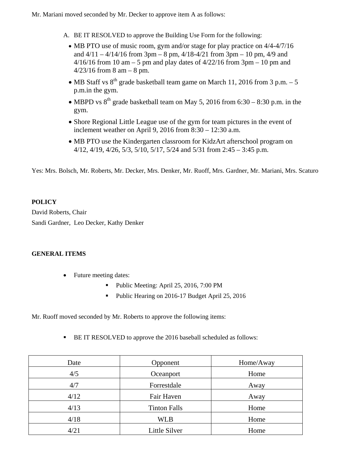Mr. Mariani moved seconded by Mr. Decker to approve item A as follows:

- A. BE IT RESOLVED to approve the Building Use Form for the following:
	- MB PTO use of music room, gym and/or stage for play practice on 4/4-4/7/16 and  $4/11 - 4/14/16$  from 3pm – 8 pm,  $4/18 - 4/21$  from 3pm – 10 pm,  $4/9$  and  $4/16/16$  from 10 am – 5 pm and play dates of  $4/22/16$  from 3pm – 10 pm and  $4/23/16$  from 8 am – 8 pm.
	- MB Staff vs  $8^{th}$  grade basketball team game on March 11, 2016 from 3 p.m. 5 p.m.in the gym.
	- MBPD vs  $8^{th}$  grade basketball team on May 5, 2016 from 6:30 8:30 p.m. in the gym.
	- Shore Regional Little League use of the gym for team pictures in the event of inclement weather on April 9, 2016 from 8:30 – 12:30 a.m.
	- MB PTO use the Kindergarten classroom for KidzArt afterschool program on 4/12, 4/19, 4/26, 5/3, 5/10, 5/17, 5/24 and 5/31 from 2:45 – 3:45 p.m.

Yes: Mrs. Bolsch, Mr. Roberts, Mr. Decker, Mrs. Denker, Mr. Ruoff, Mrs. Gardner, Mr. Mariani, Mrs. Scaturo

# **POLICY**

David Roberts, Chair Sandi Gardner, Leo Decker, Kathy Denker

# **GENERAL ITEMS**

- Future meeting dates:
	- Public Meeting: April 25, 2016, 7:00 PM
	- Public Hearing on 2016-17 Budget April 25, 2016

Mr. Ruoff moved seconded by Mr. Roberts to approve the following items:

**BE IT RESOLVED** to approve the 2016 baseball scheduled as follows:

| Date | Opponent            | Home/Away |
|------|---------------------|-----------|
| 4/5  | Oceanport           | Home      |
| 4/7  | Forrestdale         | Away      |
| 4/12 | Fair Haven          | Away      |
| 4/13 | <b>Tinton Falls</b> | Home      |
| 4/18 | <b>WLB</b>          | Home      |
| 4/21 | Little Silver       | Home      |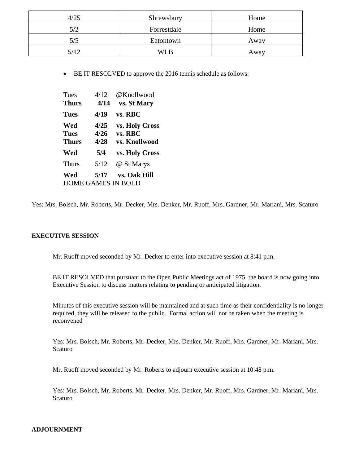| 4/25 | Shrewsbury  | Home |
|------|-------------|------|
| 5/2  | Forrestdale | Home |
| 5/5  | Eatontown   | Away |
| 5/12 | WL B        | Away |

• BE IT RESOLVED to approve the 2016 tennis schedule as follows:

| Tues                      | 4/12 | @Knollwood         |
|---------------------------|------|--------------------|
| <b>Thurs</b>              | 4/14 | <b>vs. St Mary</b> |
| <b>Tues</b>               | 4/19 | vs. RBC            |
| Wed                       | 4/25 | vs. Holy Cross     |
| <b>Tues</b>               | 4/26 | vs. RBC            |
| <b>Thurs</b>              | 4/28 | vs. Knollwood      |
| Wed                       | 5/4  | vs. Holy Cross     |
| <b>Thurs</b>              | 5/12 | @ St Marys         |
| Wed                       | 5/17 | vs. Oak Hill       |
| <b>HOME GAMES IN BOLD</b> |      |                    |

Yes: Mrs. Bolsch, Mr. Roberts, Mr. Decker, Mrs. Denker, Mr. Ruoff, Mrs. Gardner, Mr. Mariani, Mrs. Scaturo

## **EXECUTIVE SESSION**

Mr. Ruoff moved seconded by Mr. Decker to enter into executive session at 8:41 p.m.

BE IT RESOLVED that pursuant to the Open Public Meetings act of 1975, the board is now going into Executive Session to discuss matters relating to pending or anticipated litigation.

Minutes of this executive session will be maintained and at such time as their confidentiality is no longer required, they will be released to the public. Formal action will not be taken when the meeting is reconvened

Yes: Mrs. Bolsch, Mr. Roberts, Mr. Decker, Mrs. Denker, Mr. Ruoff, Mrs. Gardner, Mr. Mariani, Mrs. Scaturo

Mr. Ruoff moved seconded by Mr. Roberts to adjourn executive session at 10:48 p.m.

Yes: Mrs. Bolsch, Mr. Roberts, Mr. Decker, Mrs. Denker, Mr. Ruoff, Mrs. Gardner, Mr. Mariani, Mrs. Scaturo

## **ADJOURNMENT**